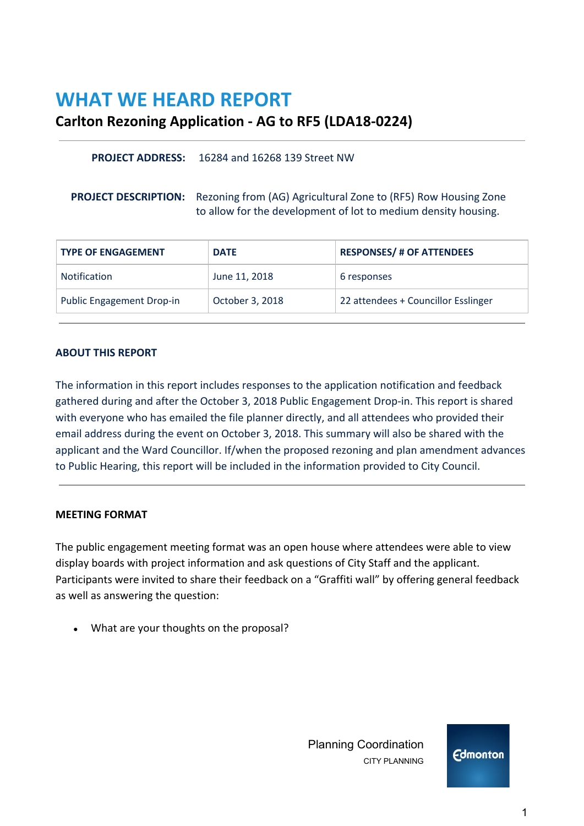# **WHAT WE HEARD REPORT**

# **Carlton Rezoning Application - AG to RF5 (LDA18-0224)**

#### **PROJECT ADDRESS:** 16284 and 16268 139 Street NW

**PROJECT DESCRIPTION:** Rezoning from (AG) Agricultural Zone to (RF5) Row Housing Zone to allow for the development of lot to medium density housing.

| <b>TYPE OF ENGAGEMENT</b>        | <b>DATE</b>     | <b>RESPONSES/ # OF ATTENDEES</b>    |
|----------------------------------|-----------------|-------------------------------------|
| <b>Notification</b>              | June 11, 2018   | 6 responses                         |
| <b>Public Engagement Drop-in</b> | October 3, 2018 | 22 attendees + Councillor Esslinger |

#### **ABOUT THIS REPORT**

The information in this report includes responses to the application notification and feedback gathered during and after the October 3, 2018 Public Engagement Drop-in. This report is shared with everyone who has emailed the file planner directly, and all attendees who provided their email address during the event on October 3, 2018. This summary will also be shared with the applicant and the Ward Councillor. If/when the proposed rezoning and plan amendment advances to Public Hearing, this report will be included in the information provided to City Council.

#### **MEETING FORMAT**

The public engagement meeting format was an open house where attendees were able to view display boards with project information and ask questions of City Staff and the applicant. Participants were invited to share their feedback on a "Graffiti wall" by offering general feedback as well as answering the question:

• What are your thoughts on the proposal?

 Planning Coordination CITY PLANNING



1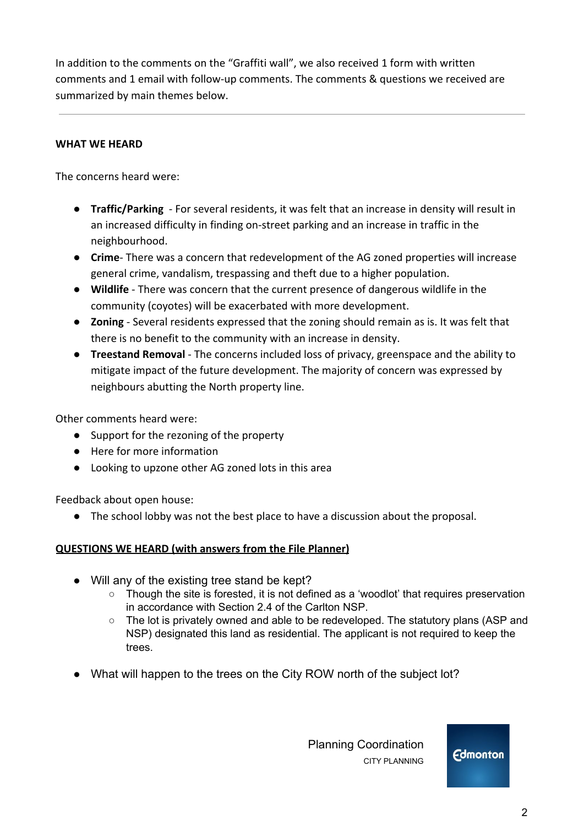In addition to the comments on the "Graffiti wall", we also received 1 form with written comments and 1 email with follow-up comments. The comments & questions we received are summarized by main themes below.

### **WHAT WE HEARD**

The concerns heard were:

- **Traffic/Parking**  For several residents, it was felt that an increase in density will result in an increased difficulty in finding on-street parking and an increase in traffic in the neighbourhood.
- **Crime** There was a concern that redevelopment of the AG zoned properties will increase general crime, vandalism, trespassing and theft due to a higher population.
- **● Wildlife**  There was concern that the current presence of dangerous wildlife in the community (coyotes) will be exacerbated with more development.
- **Zoning** Several residents expressed that the zoning should remain as is. It was felt that there is no benefit to the community with an increase in density.
- **Treestand Removal** The concerns included loss of privacy, greenspace and the ability to mitigate impact of the future development. The majority of concern was expressed by neighbours abutting the North property line.

Other comments heard were:

- Support for the rezoning of the property
- Here for more information
- Looking to upzone other AG zoned lots in this area

Feedback about open house:

● The school lobby was not the best place to have a discussion about the proposal.

## **QUESTIONS WE HEARD (with answers from the File Planner)**

- Will any of the existing tree stand be kept?
	- Though the site is forested, it is not defined as a 'woodlot' that requires preservation in accordance with Section 2.4 of the Carlton NSP.
	- The lot is privately owned and able to be redeveloped. The statutory plans (ASP and NSP) designated this land as residential. The applicant is not required to keep the trees.
- What will happen to the trees on the City ROW north of the subject lot?

 Planning Coordination CITY PLANNING